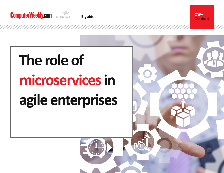





# **The role of microservices in agile enterprises**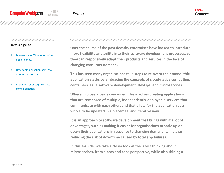#### **In this e-guide**

- [Microservices: What enterprises](#page-2-0)  [need to know](#page-2-0)
- [How containerisation helps VW](#page-7-0)  [develop car software](#page-7-0)
- [Preparing for enterprise-class](#page-11-0)  [containerization](#page-11-0)

## 

**Over the course of the past decade, enterprises have looked to introduce more flexibility and agility into their software development processes, so they can responsively adapt their products and services in the face of changing consumer demand.** 

**This has seen many organisations take steps to reinvent their monolithic application stacks by embracing the concepts of cloud-native computing, containers, agile software development, DevOps, and microservices.**

**Where microservices is concerned, this involves creating applications that are composed of multiple, independently-deployable services that communicate with each other, and that allow for the application as a whole to be updated in a piecemeal and iterative way.**

**It is an approach to software development that brings with it a lot of advantages, such as making it easier for organisations to scale up or down their applications in response to changing demand, while also reducing the risk of downtime caused by total app failures.**

**In this e-guide, we take a closer look at the latest thinking about microservices, from a pros and cons perspective, while also shining a**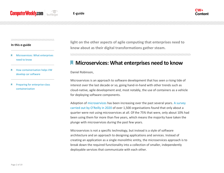

#### 

#### **In this e-guide**

- [Microservices: What enterprises](#page-2-0)  [need to know](#page-2-0)
- [How containerisation helps VW](#page-7-0)  [develop car software](#page-7-0)
- [Preparing for enterprise-class](#page-11-0)  [containerization](#page-11-0)

**light on the other aspects of agile computing that enterprises need to know about as their digital transformations gather steam.** 

<span id="page-2-0"></span>

# **Microservices: What enterprises need to know**

Daniel Robinson,

Microservices is an approach to software development that has seen a rising tide of interest over the last decade or so, going hand-in-hand with other trends such as cloud-native, agile development and, most notably, the use of containers as a vehicle for deploying software components.

Adoption o[f microservices](https://searchapparchitecture.techtarget.com/definition/microservices) has been increasing over the past several years. [A survey](https://www.oreilly.com/radar/microservices-adoption-in-2020/)  [carried out by O'Reilly in 2020](https://www.oreilly.com/radar/microservices-adoption-in-2020/) of over 1,500 organisations found that only about a quarter were not using microservices at all. Of the 75% that were, only about 10% had been using them for more than five years, which means the majority have taken the plunge with microservices during the past few years.

Microservices is not a specific technology, but instead is a style of software architecture and an approach to designing applications and services. Instead of creating an application as a single monolithic entity, the microservices approach is to break down the required functionality into a collection of smaller, independently deployable services that communicate with each other.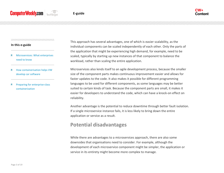

#### **In this e-guide**

- [Microservices: What enterprises](#page-2-0)  [need to know](#page-2-0)
- [How containerisation helps VW](#page-7-0)  [develop car software](#page-7-0)
- [Preparing for enterprise-class](#page-11-0)  [containerization](#page-11-0)

This approach has several advantages, one of which is easier scalability, as the individual components can be scaled independently of each other. Only the parts of the application that might be experiencing high demand, for example, need to be scaled, typically by starting up new instances of that component to balance the workload, rather than scaling the entire application.

Microservices also lends itself to an agile development process, because the smaller size of the component parts makes continuous improvement easier and allows for faster updates to the code. It also makes it possible for different programming languages to be used for different components, as some languages may be better suited to certain kinds of task. Because the component parts are small, it makes it easier for developers to understand the code, which can have a knock-on effect on reliability.

Another advantage is the potential to reduce downtime through better fault isolation. If a single microservice instance fails, it is less likely to bring down the entire application or service as a result.

# **Potential disadvantages**

While there are advantages to a microservices approach, there are also some downsides that organisations need to consider. For example, although the development of each microservice component might be simpler, the application or service in its entirety might become more complex to manage.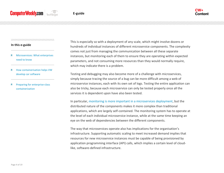

#### **In this e-guide**

- [Microservices: What enterprises](#page-2-0)  [need to know](#page-2-0)
- [How containerisation helps VW](#page-7-0)  [develop car software](#page-7-0)
- [Preparing for enterprise-class](#page-11-0)  [containerization](#page-11-0)

This is especially so with a deployment of any scale, which might involve dozens or hundreds of individual instances of different microservice components. The complexity comes not just from managing the communication between all these separate instances, but monitoring each of them to ensure they are operating within expected parameters, and not consuming more resources than they would normally require, which may indicate there is a problem.

Testing and debugging may also become more of a challenge with microservices, simply because tracing the source of a bug can be more difficult among a web of microservice instances, each with its own set of logs. Testing the entire application can also be tricky, because each microservice can only be tested properly once all the services it is dependent upon have also been tested.

In particular, [monitoring is more important in a microservices deployment,](https://searchitoperations.techtarget.com/tip/Master-containerized-microservices-monitoring) but the distributed nature of the components makes it more complex than traditional applications, which are largely self-contained. The monitoring system has to operate at the level of each individual microservice instance, while at the same time keeping an eye on the web of dependencies between the different components.

The way that microservices operate also has implications for the organisation's infrastructure. Supporting automatic scaling to meet increased demand implies that resources for new microservice instances must be capable of being provisioned by application programming interface (API) calls, which implies a certain level of cloudlike, software-defined infrastructure.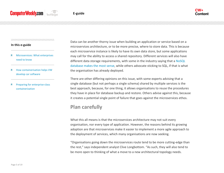

#### **In this e-guide**

- [Microservices: What enterprises](#page-2-0)  [need to know](#page-2-0)
- [How containerisation helps VW](#page-7-0)  [develop car software](#page-7-0)
- [Preparing for enterprise-class](#page-11-0)  [containerization](#page-11-0)

Data can be another thorny issue when building an application or service based on a microservices architecture, or to be more precise, where to store data. This is because each microservice instance is likely to have its own data store, but some applications may call for the ability to access a shared repository. Different services will also have different data storage requirements, with some in the industry saying that a [NoSQL](https://www.computerweekly.com/blog/CW-Developer-Network/Relish-with-Redis-NoSQL-is-mustard-for-microservices)  [database makes the most sense,](https://www.computerweekly.com/blog/CW-Developer-Network/Relish-with-Redis-NoSQL-is-mustard-for-microservices) while others advocate sticking to SQL, if that is what the organisation has already deployed.

There are other differing opinions on this issue, with some experts advising that a single database (but not perhaps a single schema) shared by multiple services is the best approach, because, for one thing, it allows organisations to reuse the procedures they have in place for database backup and restore. Others advise against this, because it creates a potential single point of failure that goes against the microservices ethos.

# **Plan carefully**

What this all means is that the microservices architecture may not suit every organisation, nor every type of application. However, the reasons behind its growing adoption are that microservices make it easier to implement a more agile approach to the deployment of services, which many organisations are now seeking.

"Organisations going down the microservices route tend to be more cutting-edge than the rest," says independent analyst Clive Longbottom. "As such, they will also tend to be more open to thinking of what a move to a new architectural topology needs.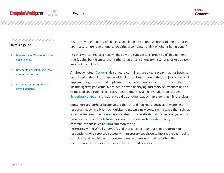#### 

#### **In this e-guide**

- [Microservices: What enterprises](#page-2-0)  [need to know](#page-2-0)
- [How containerisation helps VW](#page-7-0)  [develop car software](#page-7-0)
- [Preparing for enterprise-class](#page-11-0)  [containerization](#page-11-0)

Historically, the majority of changes have been evolutionary: successful microservices architectures are revolutionary, requiring a complete rethink of what is being done."

In other words, microservices might be more suitable to a "green field" deployment that is being built from scratch, rather than organisations trying to refactor or update an existing application.

As already noted, [Docker-](https://searchitoperations.techtarget.com/definition/Docker)style software containers are a technology that has become associated in the minds of many with microservices, although they are just one way of implementing a distributed deployment such as microservices. Other ways might include lightweight virtual machines, or even deploying microservice instances as nonvirtualised code running in a server environment, just like everyday applications. [Serverless computing](https://www.computerweekly.com/feature/Serverless-Weighing-up-the-pros-and-cons-for-enterprises) functions would be another way of implementing microservices.

Containers are perhaps better suited than virtual machines, because they are less resource-heavy, and it is much quicker to spawn a new container instance than spin up a new virtual machine. Containers are also now a relatively mature technology, with a broad ecosystem of tools to support orchestration (such as [Kubernetes\)](https://searchitoperations.techtarget.com/definition/Google-Kubernetes), communications (such as [Istio\)](https://searchapparchitecture.techtarget.com/definition/Istio) and monitoring.

Interestingly, the O'Reilly survey found that a higher-than-average proportion of respondents who reported success with microservices chose to instantiate them using containers, while a higher proportion of respondents who had described their microservices efforts as unsuccessful had not used containers.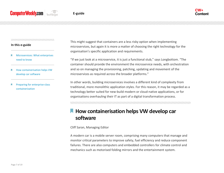

#### **In this e-guide**

- [Microservices: What enterprises](#page-2-0)  [need to know](#page-2-0)
- [How containerisation helps VW](#page-7-0)  [develop car software](#page-7-0)
- [Preparing for enterprise-class](#page-11-0)  [containerization](#page-11-0)

This might suggest that containers are a less risky option when implementing microservices, but again it is more a matter of choosing the right technology for the organisation's specific application and requirements.

"If we just look at a microservice, it is just a functional stub," says Longbottom. "The container should provide the environment the microservice needs, with orchestration and so on managing the provisioning, patching, updating and movement of the microservices as required across the broader platforms."

In other words, building microservices involves a different kind of complexity from traditional, more monolithic application styles. For this reason, it may be regarded as a technology better suited for new-build modern or cloud-native applications, or for organisations overhauling their IT as part of a digital transformation process.

<span id="page-7-0"></span>

# **How containerisation helps VW develop car software**

### Cliff Saran, Managing Editor

A modern car is a mobile server room, comprising many computers that manage and monitor critical parameters to improve safety, fuel efficiency and reduce component failures. There are also computers and embedded controllers for climate control and mechanics such as motorised folding mirrors and the entertainment system.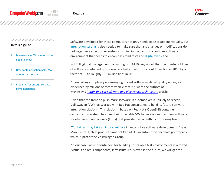#### 

#### **In this e-guide**

- [Microservices: What enterprises](#page-2-0)  [need to know](#page-2-0)
- [How containerisation helps VW](#page-7-0)  [develop car software](#page-7-0)
- [Preparing for enterprise-class](#page-11-0)  [containerization](#page-11-0)

Software developed for these computers not only needs to be tested individually, but [integration testing](https://searchsoftwarequality.techtarget.com/tip/Who-is-responsible-for-integration-testing) is also needed to make sure that any changes or modifications do not negatively affect other systems running in the car. It is a complex software environment that needs to encompass road tests and [digital twins,](https://searchcio.techtarget.com/post/The-mirrored-world-What-are-the-benefits-of-digital-twins) too.

In 2018, global management consulting firm McKinsey noted that the number of lines of software contained in modern cars had grown from about 10 million in 2010 by a factor of 15 to roughly 150 million lines in 2016.

"Snowballing complexity is causing significant software-related quality issues, as evidenced by millions of recent vehicle recalls," warn the authors of McKinsey's *[Rethinking car software and electronics architecture](https://www.mckinsey.com/industries/automotive-and-assembly/our-insights/rethinking-car-software-and-electronics-architecture)* article.

Given that the trend to push more software in automotives is unlikely to recede, Volkswagen (VW) has worked with Red Hat consultants to build its future software integration platform. This platform, based on Red Hat's OpenShift container orchestration system, has been built to enable VW to develop and test new software for electronic control units (ECUs) that provide the car with its processing brain.

"[Containers may take an important role](https://searchsecurity.techtarget.com/feature/Adopting-containers-and-preventing-container-security-risks) in automotive software development," says Marcus Greul, chief product owner of Cariad SE, an automotive technology company which is part of the Volkswagen Group.

"In our case, we use containers for building up scalable test environments in a mixed (virtual and real components) infrastructure. Maybe in the future, we will get the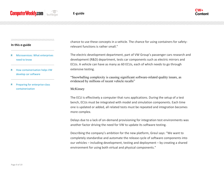

#### 

#### **In this e-guide**

- [Microservices: What enterprises](#page-2-0)  [need to know](#page-2-0)
- [How containerisation helps VW](#page-7-0)  [develop car software](#page-7-0)
- [Preparing for enterprise-class](#page-11-0)  [containerization](#page-11-0)

chance to use these concepts in a vehicle. The chance for using containers for safetyrelevant functions is rather small."

The electric development department, part of VW Group's passenger cars research and development (R&D) department, tests car components such as electric mirrors and ECUs. A vehicle can have as many as 60 ECUs, each of which needs to go through extensive testing.

"Snowballing complexity is causing significant software-related quality issues, as evidenced by millions of recent vehicle recalls"

McKinsey

The ECU is effectively a computer that runs applications. During the setup of a test bench, ECUs must be integrated with model and simulation components. Each time one is updated or added, all related tests must be repeated and integration becomes more complex.

Delays due to a lack of on-demand provisioning for integration test environments was another factor driving the need for VW to update its software testing.

Describing the company's ambition for the new platform, Greul says: "We want to completely standardise and automate the release cycle of software components into our vehicles – including development, testing and deployment – by creating a shared environment for using both virtual and physical components."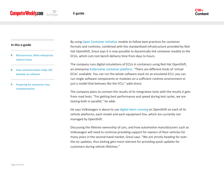

#### **In this e-guide**

- [Microservices: What enterprises](#page-2-0)  [need to know](#page-2-0)
- [How containerisation helps VW](#page-7-0)  [develop car software](#page-7-0)
- [Preparing for enterprise-class](#page-11-0)  [containerization](#page-11-0)

By using [Open Container Initiative](https://searchitoperations.techtarget.com/news/450401019/Open-Container-Initiative-offshoot-pushes-standardization-envelope) models to follow best practices for container formats and runtimes, combined with the standardised infrastructure provided by Red Hat OpenShift, Greul says it is now possible to dynamically link container models to the ECUs, which cuts test bench delivery time from days to hours.

The company runs digital simulations of ECUs in containers using Red Hat OpenShift, an enterprise [Kubernetes container platform](https://www.computerweekly.com/news/252489047/Nutanix-bolsters-Kubernetes-playbook-with-managed-service). "There are different kinds of 'virtual ECUs' available. You can run the whole software stack on an emulated ECU, you can run single software components or modules on a sufficient runtime environment or just a model that behaves like the ECU," adds Greul.

The company plans to connect the results of its integration tests with the results it gets from road tests. "For getting best performance and speed during test cycles, we are testing both in parallel," he adds.

He says Volkswagen is about to use [digital twins running](https://searcherp.techtarget.com/feature/GE-Digital-CTO-on-data-AI-role-in-digital-twin-applications) on OpenShift on each of its vehicle platforms, each model and each equipment line, which are currently not managed by OpenShift.

Discussing the lifetime ownership of cars, and how automotive manufacturers such as Volkswagen will need to continue providing support for owners of their vehicles for many years in the second-hand market, Greul says: "We are strictly heading for overthe-air updates, thus testing gets more relevant for providing quick updates for customers during vehicle lifetimes."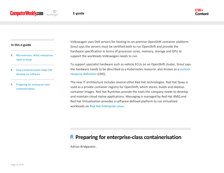

#### **In this e-guide**

- [Microservices: What enterprises](#page-2-0)  [need to know](#page-2-0)
- [How containerisation helps VW](#page-7-0)  [develop car software](#page-7-0)
- [Preparing for enterprise-class](#page-11-0)  [containerization](#page-11-0)

Volkswagen uses Dell servers for hosting its on-premise OpenShift container platform. Greul says the servers must be certified both to run OpenShift and provide the hardware specification in terms of processor cores, memory, storage and GPU to support the workloads Volkswagen needs to run.

To support specialist hardware such as vehicle ECUs on an OpenShift cluster, Greul says the hardware needs to be described as a Kubernetes resource, also known as a [custom](https://kubernetes.io/docs/concepts/extend-kubernetes/api-extension/custom-resources/)  [resource definition](https://kubernetes.io/docs/concepts/extend-kubernetes/api-extension/custom-resources/) (CRD).

The new IT architecture includes several other Red Hat technologies. Red Hat Quay is used as a private container registry for OpenShift, which stores, builds and deploys container images. Red Hat Runtimes provide the tools the company needs to develop and maintain cloud-native applications. Messaging is managed by Red Hat AMQ and Red Hat Virtualisation provides a software-defined platform to run virtualised workloads on [Red Hat Enterprise Linux.](https://searchdatacenter.techtarget.com/news/252499892/Red-Hat-Enterprise-Linux-84-doubles-down-on-edge-computing)

<span id="page-11-0"></span>

# **Preparing for enterprise-class containerisation**

Adrian Bridgwater,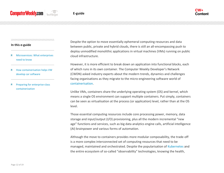

#### **In this e-guide**

- [Microservices: What enterprises](#page-2-0)  [need to know](#page-2-0)
- [How containerisation helps VW](#page-7-0)  [develop car software](#page-7-0)
- [Preparing for enterprise-class](#page-11-0)  [containerization](#page-11-0)

Despite the option to move essentially ephemeral computing resources and data between public, private and hybrid clouds, there is still an all-encompassing push to deploy unmodified monolithic applications in virtual machines (VMs) running on public cloud infrastructure.

However, it is more efficient to break down an application into functional blocks, each of which runs in its own container. The Computer Weekly Developer's Network (CWDN) asked industry experts about the modern trends, dynamics and challenges facing organisations as they migrate to the micro-engineering software world of [containerisation.](https://searchcloudsecurity.techtarget.com/feature/Cloud-containers-what-they-are-and-how-they-work)

Unlike VMs, containers share the underlying operating system (OS) and kernel, which means a single OS environment can support multiple containers. Put simply, containers can be seen as virtualisation at the process (or application) level, rather than at the OS level.

Those essential computing resources include core processing power, memory, data storage and input/output (I/O) provisioning, plus all the modern incremental "new age" functions and services, such as big data analytics engine calls, artificial intelligence (AI) brainpower and various forms of automation.

Although the move to containers provides more modular composability, the trade-off is a more complex interconnected set of computing resources that need to be managed, maintained and orchestrated. Despite the popularisation of [Kubernetes](https://www.computerweekly.com/ehandbook/Kubernetes-What-enterprises-need-to-know) and the entire ecosystem of so-called "observability" technologies, knowing the health,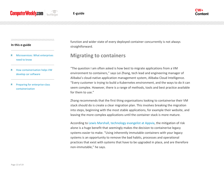

#### **In this e-guide**

- [Microservices: What enterprises](#page-2-0)  [need to know](#page-2-0)
- [How containerisation helps VW](#page-7-0)  [develop car software](#page-7-0)
- [Preparing for enterprise-class](#page-11-0)  [containerization](#page-11-0)

function and wider state of every deployed container concurrently is not always straightforward.

# **Migrating to containers**

"The question I am often asked is how best to migrate applications from a VM environment to containers," says Lei Zhang, tech lead and engineering manager of Alibaba's cloud-native application management system, Alibaba Cloud Intelligence. "Every customer is trying to build a Kubernetes environment, and the ways to do it can seem complex. However, there is a range of methods, tools and best practice available for them to use."

Zhang recommends that the first thing organisations looking to containerise their VM stack should do is create a clear migration plan. This involves breaking the migration into steps, beginning with the most stable applications, for example their website, and leaving the more complex applications until the container stack is more mature.

According to [Lewis Marshall, technology](https://www.computerweekly.com/blog/Open-Source-Insider/Containerisation-in-the-enterprise-Appvia-Immutable-truths-to-unplug-the-cost-sinkers) evangelist at Appvia, the mitigation of risk alone is a huge benefit that seemingly makes the decision to containerise legacy systems easier to make. "Using inherently immutable containers with your legacy systems is an opportunity to remove the bad habits, processes and operational practices that exist with systems that have to be upgraded in place, and are therefore non-immutable," he says.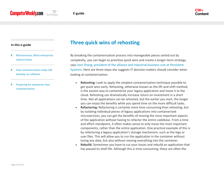#### **In this e-guide**

- [Microservices: What enterprises](#page-2-0)  [need to know](#page-2-0)
- [How containerisation helps VW](#page-7-0)  [develop car software](#page-7-0)
- [Preparing for enterprise-class](#page-11-0)  [containerization](#page-11-0)

# **Three quick wins of rehosting**

By breaking the containerisation process into manageable pieces sorted out by complexity, you can begin to prioritise quick wins and create a longer-term strategy, says [Jiani Zhang, president of the alliance and industrial business unit at Persistent](https://www.computerweekly.com/blog/Open-Source-Insider/Containerisation-in-the-enterprise-Persistent-Systems-A-spectrum-approach-to-containerising-lega)  [Systems.](https://www.computerweekly.com/blog/Open-Source-Insider/Containerisation-in-the-enterprise-Persistent-Systems-A-spectrum-approach-to-containerising-lega) Here are three steps she suggests IT decision-makers should consider when looking at containerisation:

- **Rehosting:** Look to apply the simplest containerisation technique possible to get quick wins early. Rehosting, otherwise known as the lift-and-shift method, is the easiest way to containerise your legacy application and move it to the cloud. Rehosting can dramatically increase return on investment in a short time. Not all applications can be rehosted, but the earlier you start, the longer you can enjoy the benefits while you spend time on the more difficult tasks.
- **Refactoring:** Refactoring is certainly more time-consuming than rehosting, but by isolating individual pieces of legacy applications into containerised microservices, you can get the benefits of moving the most important aspects of the application without having to refactor the entire codebase. From a time and effort standpoint, it often makes sense to only move the most important components, rather than the entire application. One practical example of this is by refactoring a legacy application's storage mechanism, such as the logs or user files. This will allow you to run the application in the container without losing any data, but also without moving everything into the container.
- **Rebuild:** Sometimes you have to cut your losses and rebuild an application that has passed its shelf life. Although this is time-consuming, these are often the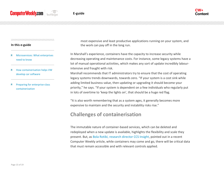

#### **In this e-guide**

- [Microservices: What enterprises](#page-2-0)  [need to know](#page-2-0)
- [How containerisation helps VW](#page-7-0)  [develop car software](#page-7-0)
- [Preparing for enterprise-class](#page-11-0)  [containerization](#page-11-0)

most expensive and least productive applications running on your system, and the work can pay off in the long run.

In Marshall's experience, containers have the capacity to increase security while decreasing operating and maintenance costs. For instance, some legacy systems have a lot of manual operational activities, which makes any sort of update incredibly labourintensive and fraught with risk.

Marshall recommends that IT administrators try to ensure that the cost of operating legacy systems trends downwards, towards zero. "If your system is a cost sink while adding limited business value, then updating or upgrading it should become your priority," he says. "If your system is dependent on a few individuals who regularly put in lots of overtime to 'keep the lights on', that should be a huge red flag.

"It is also worth remembering that as a system ages, it generally becomes more expensive to maintain and the security and instability risks rise."

## **Challenges of containerisation**

The immutable nature of container-based services, which can be deleted and redeployed when a new update is available, highlights the flexibility and scale they present. But, as [Bola Rotibi, research director CCS Insight,](https://www.computerweekly.com/opinion/Containers-Learning-from-the-pioneers) pointed out in a recent Computer Weekly article, while containers may come and go, there will be critical data that must remain accessible and with relevant controls applied.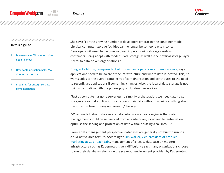#### 

#### **In this e-guide**

- [Microservices: What enterprises](#page-2-0)  [need to know](#page-2-0)
- [How containerisation helps VW](#page-7-0)  [develop car software](#page-7-0)
- [Preparing for enterprise-class](#page-11-0)  [containerization](#page-11-0)

She says: "For the growing number of developers embracing the container model, physical computer storage facilities can no longer be someone else's concern. Developers will need to become involved in provisioning storage assets with containers. Being adept with modern data storage as well as the physical storage layer is vital to data-driven organisations."

[Douglas Fallstrom, vice-president of product and operations at Hammerspace,](https://www.computerweekly.com/blog/Open-Source-Insider/Containerisation-in-the-enterprise-Hammerspace-Portable-potential-in-storageless-data) says applications need to be aware of the infrastructure and where data is located. This, he warns, adds to the overall complexity of containerisation and contributes to the need to reconfigure applications if something changes. Also, the idea of data storage is not strictly compatible with the philosophy of cloud-native workloads.

"Just as compute has gone serverless to simplify orchestration, we need data to go storageless so that applications can access their data without knowing anything about the infrastructure running underneath," he says.

"When we talk about storageless data, what we are really saying is that data management should be self-served from any site or any cloud and let automation optimise the serving and protection of data without putting a call into IT."

From a data management perspective, databases are generally not built to run in a cloud-native architecture. According to [Jim Walker, vice-president of product](https://www.computerweekly.com/blog/Open-Source-Insider/Containerisation-in-the-enterprise-Cockroach-Labs-The-legacy-impedance-mismatch)  [marketing at Cockroach Labs,](https://www.computerweekly.com/blog/Open-Source-Insider/Containerisation-in-the-enterprise-Cockroach-Labs-The-legacy-impedance-mismatch) management of a legacy database on modern infrastructure such as Kubernetes is very difficult. He says many organisations choose to run their databases alongside the scale-out environment provided by Kubernetes.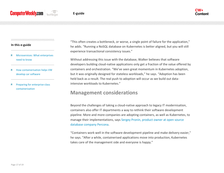#### 

#### **In this e-guide**

- [Microservices: What enterprises](#page-2-0)  [need to know](#page-2-0)
- [How containerisation helps VW](#page-7-0)  [develop car software](#page-7-0)
- [Preparing for enterprise-class](#page-11-0)  [containerization](#page-11-0)

"This often creates a bottleneck, or worse, a single point of failure for the application," he adds. "Running a NoSQL database on Kubernetes is better aligned, but you will still experience transactional consistency issues."

Without addressing this issue with the database, Walker believes that software developers building cloud-native applications only get a fraction of the value offered by containers and orchestration. "We've seen great momentum in Kubernetes adoption, but it was originally designed for stateless workloads," he says. "Adoption has been held back as a result. The real push to adoption will occur as we build out dataintensive workloads to Kubernetes."

## **Management considerations**

Beyond the challenges of taking a cloud-native approach to legacy IT modernisation, containers also offer IT departments a way to rethink their software development pipeline. More and more companies are adopting containers, as well as Kubernetes, to manage their implementations, say[s Sergey Pronin, product owner at open source](https://www.computerweekly.com/blog/Open-Source-Insider/Containerisation-in-the-enterprise-Percona-Dont-leave-container-costs-to-cluster-luck)  [database company Percona.](https://www.computerweekly.com/blog/Open-Source-Insider/Containerisation-in-the-enterprise-Percona-Dont-leave-container-costs-to-cluster-luck)

"Containers work well in the software development pipeline and make delivery easier," he says. "After a while, containerised applications move into production, Kubernetes takes care of the management side and everyone is happy."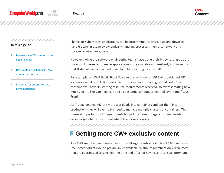#### 

#### **In this e-guide**

- [Microservices: What enterprises](#page-2-0)  [need to know](#page-2-0)
- [How containerisation helps VW](#page-7-0)  [develop car software](#page-7-0)
- [Preparing for enterprise-class](#page-11-0)  [containerization](#page-11-0)

Thanks to Kubernetes, applications can be programmatically scale up and down to handle peaks in usage by dynamically handling processor, memory, network and storage requirements, he adds.

However, while the software engineering teams have done their bit by setting up autoscalers in Kubernetes to make applications more available and resilient, Pronin warns that IT departments may find their cloud bills starting to snowball.

For example, an AWS Elastic Block Storage user will pay for 10TB of provisioned EBS volumes even if only 1TB is really used. This can lead to sky-high cloud costs. "Each container will have its starting resource requirements reserved, so overestimating how much you are likely to need can add a substantial amount to your bill over time," says Pronin.

As IT departments migrate more workloads into containers and put them into production, they will eventually need to manage multiple clusters of containers. This makes it important for IT departments to track container usage and spend levels in order to get a better picture of where the money is going.

# **Getting more CW+ exclusive content**

As a CW+ member, you have access to TechTarget's entire portfolio of 140+ websites. CW+ access directs you to previously unavailable "platinum members-only resources" that are guaranteed to save you the time and effort of having to track such premium